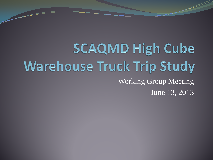**SCAQMD High Cube Warehouse Truck Trip Study** Working Group Meeting June 13, 2013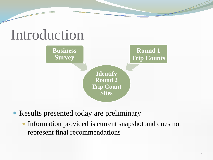## Introduction

**Business Survey**



**Round 1** 

**Trip Counts**

Results presented today are preliminary

• Information provided is current snapshot and does not represent final recommendations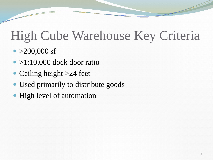## High Cube Warehouse Key Criteria

- $\bullet$  >200,000 sf
- $\bullet$  >1:10,000 dock door ratio
- Ceiling height >24 feet
- Used primarily to distribute goods
- High level of automation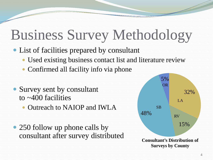# Business Survey Methodology

- List of facilities prepared by consultant
	- Used existing business contact list and literature review
	- Confirmed all facility info via phone
- Survey sent by consultant to ~400 facilities
	- Outreach to NAIOP and IWLA
- 250 follow up phone calls by consultant after survey distributed

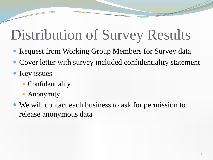# Distribution of Survey Results

- Request from Working Group Members for Survey data
- Cover letter with survey included confidentiality statement
- Key issues
	- Confidentiality
	- Anonymity
- We will contact each business to ask for permission to release anonymous data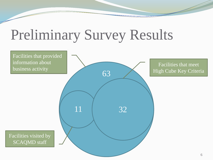# Preliminary Survey Results

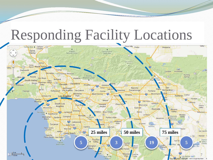### Responding Facility Locations

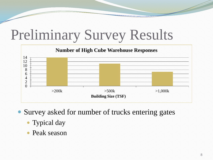# Preliminary Survey Results



• Survey asked for number of trucks entering gates

- Typical day
- Peak season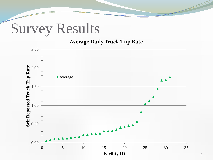### Survey Results

#### **Average Daily Truck Trip Rate**

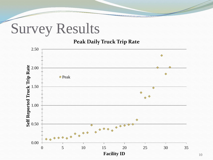### Survey Results

#### **Peak Daily Truck Trip Rate**

![](_page_9_Figure_2.jpeg)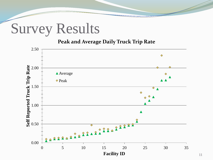### Survey Results

#### **Peak and Average Daily Truck Trip Rate**

![](_page_10_Figure_2.jpeg)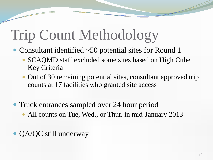# Trip Count Methodology

- Consultant identified ~50 potential sites for Round 1
	- SCAQMD staff excluded some sites based on High Cube Key Criteria
	- Out of 30 remaining potential sites, consultant approved trip counts at 17 facilities who granted site access
- Truck entrances sampled over 24 hour period
	- All counts on Tue, Wed., or Thur. in mid-January 2013
- QA/QC still underway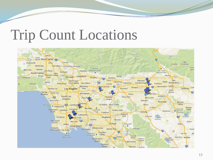# Trip Count Locations

![](_page_12_Figure_1.jpeg)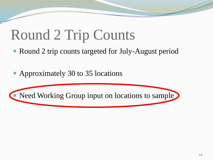# Round 2 Trip Counts

- Round 2 trip counts targeted for July-August period
- Approximately 30 to 35 locations

![](_page_13_Picture_3.jpeg)